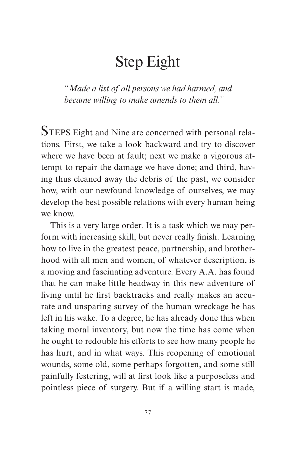## Step Eight

*"Made a list of all persons we had harmed, and became willing to make amends to them all."*

STEPS Eight and Nine are concerned with personal relations. First, we take a look backward and try to discover where we have been at fault; next we make a vigorous attempt to repair the damage we have done; and third, having thus cleaned away the debris of the past, we consider how, with our newfound knowledge of ourselves, we may develop the best possible relations with every human being we know.

This is a very large order. It is a task which we may perform with increasing skill, but never really finish. Learning how to live in the greatest peace, partnership, and brotherhood with all men and women, of whatever description, is a moving and fascinating adventure. Every A.A. has found that he can make little headway in this new adventure of living until he first backtracks and really makes an accurate and unsparing survey of the human wreckage he has left in his wake. To a degree, he has already done this when taking moral inventory, but now the time has come when he ought to redouble his efforts to see how many people he has hurt, and in what ways. This reopening of emotional wounds, some old, some perhaps forgotten, and some still painfully festering, will at first look like a purposeless and pointless piece of surgery. But if a willing start is made,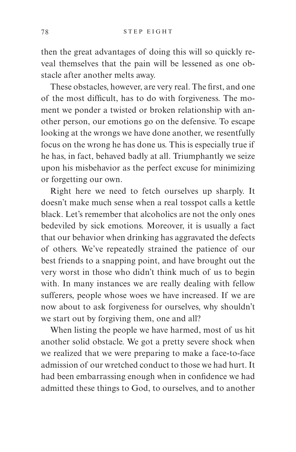then the great advantages of doing this will so quickly reveal themselves that the pain will be lessened as one obstacle after another melts away.

These obstacles, however, are very real. The first, and one of the most difficult, has to do with forgiveness. The moment we ponder a twisted or broken relationship with another person, our emotions go on the defensive. To escape looking at the wrongs we have done another, we resentfully focus on the wrong he has done us. This is especially true if he has, in fact, behaved badly at all. Triumphantly we seize upon his misbehavior as the perfect excuse for minimizing or forgetting our own.

Right here we need to fetch ourselves up sharply. It doesn't make much sense when a real tosspot calls a kettle black. Let's remember that alcoholics are not the only ones bedeviled by sick emotions. Moreover, it is usually a fact that our behavior when drinking has aggravated the defects of others. We've repeatedly strained the patience of our best friends to a snapping point, and have brought out the very worst in those who didn't think much of us to begin with. In many instances we are really dealing with fellow sufferers, people whose woes we have increased. If we are now about to ask forgiveness for ourselves, why shouldn't we start out by forgiving them, one and all?

When listing the people we have harmed, most of us hit another solid obstacle. We got a pretty severe shock when we realized that we were preparing to make a face-to-face admission of our wretched conduct to those we had hurt. It had been embarrassing enough when in confidence we had admitted these things to God, to ourselves, and to another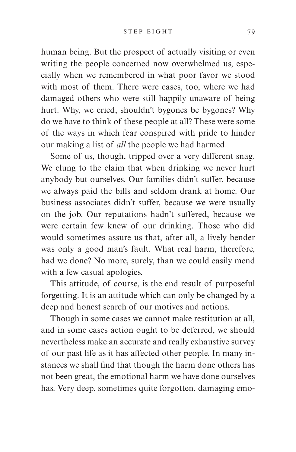human being. But the prospect of actually visiting or even writing the people concerned now overwhelmed us, especially when we remembered in what poor favor we stood with most of them. There were cases, too, where we had damaged others who were still happily unaware of being hurt. Why, we cried, shouldn't bygones be bygones? Why do we have to think of these people at all? These were some of the ways in which fear conspired with pride to hinder our making a list of *all* the people we had harmed.

Some of us, though, tripped over a very different snag. We clung to the claim that when drinking we never hurt anybody but ourselves. Our families didn't suffer, because we always paid the bills and seldom drank at home. Our business associates didn't suffer, because we were usually on the job. Our reputations hadn't suffered, because we were certain few knew of our drinking. Those who did would sometimes assure us that, after all, a lively bender was only a good man's fault. What real harm, therefore, had we done? No more, surely, than we could easily mend with a few casual apologies.

This attitude, of course, is the end result of purposeful forgetting. It is an attitude which can only be changed by a deep and honest search of our motives and actions.

Though in some cases we cannot make restitution at all, and in some cases action ought to be deferred, we should nevertheless make an accurate and really exhaustive survey of our past life as it has affected other people. In many instances we shall find that though the harm done others has not been great, the emotional harm we have done ourselves has. Very deep, sometimes quite forgotten, damaging emo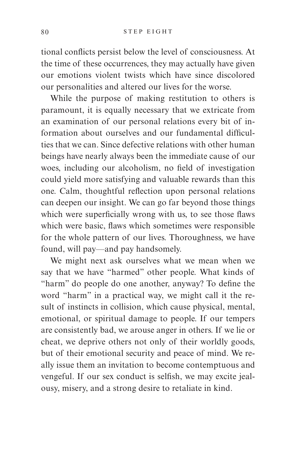tional conflicts persist below the level of consciousness. At the time of these occurrences, they may actually have given our emotions violent twists which have since discolored our personalities and altered our lives for the worse.

While the purpose of making restitution to others is paramount, it is equally necessary that we extricate from an examination of our personal relations every bit of information about ourselves and our fundamental difficulties that we can. Since defective relations with other human beings have nearly always been the immediate cause of our woes, including our alcoholism, no field of investigation could yield more satisfying and valuable rewards than this one. Calm, thoughtful reflection upon personal relations can deepen our insight. We can go far beyond those things which were superficially wrong with us, to see those flaws which were basic, flaws which sometimes were responsible for the whole pattern of our lives. Thoroughness, we have found, will pay—and pay handsomely.

We might next ask ourselves what we mean when we say that we have "harmed" other people. What kinds of "harm" do people do one another, anyway? To define the word "harm" in a practical way, we might call it the result of instincts in collision, which cause physical, mental, emotional, or spiritual damage to people. If our tempers are consistently bad, we arouse anger in others. If we lie or cheat, we deprive others not only of their worldly goods, but of their emotional security and peace of mind. We really issue them an invitation to become contemptuous and vengeful. If our sex conduct is selfish, we may excite jealousy, misery, and a strong desire to retaliate in kind.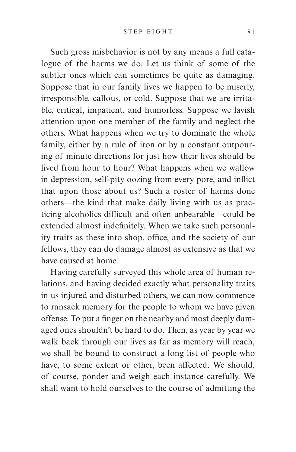Such gross misbehavior is not by any means a full catalogue of the harms we do. Let us think of some of the subtler ones which can sometimes be quite as damaging. Suppose that in our family lives we happen to be miserly, irresponsible, callous, or cold. Suppose that we are irritable, critical, impatient, and humorless. Suppose we lavish attention upon one member of the family and neglect the others. What happens when we try to dominate the whole family, either by a rule of iron or by a constant outpouring of minute directions for just how their lives should be lived from hour to hour? What happens when we wallow in depression, self-pity oozing from every pore, and inflict that upon those about us? Such a roster of harms done others—the kind that make daily living with us as practicing alcoholics difficult and often unbearable—could be extended almost indefinitely. When we take such personality traits as these into shop, office, and the society of our fellows, they can do damage almost as extensive as that we have caused at home.

Having carefully surveyed this whole area of human relations, and having decided exactly what personality traits in us injured and disturbed others, we can now commence to ransack memory for the people to whom we have given offense. To put a finger on the nearby and most deeply damaged ones shouldn't be hard to do. Then, as year by year we walk back through our lives as far as memory will reach, we shall be bound to construct a long list of people who have, to some extent or other, been affected. We should, of course, ponder and weigh each instance carefully. We shall want to hold ourselves to the course of admitting the